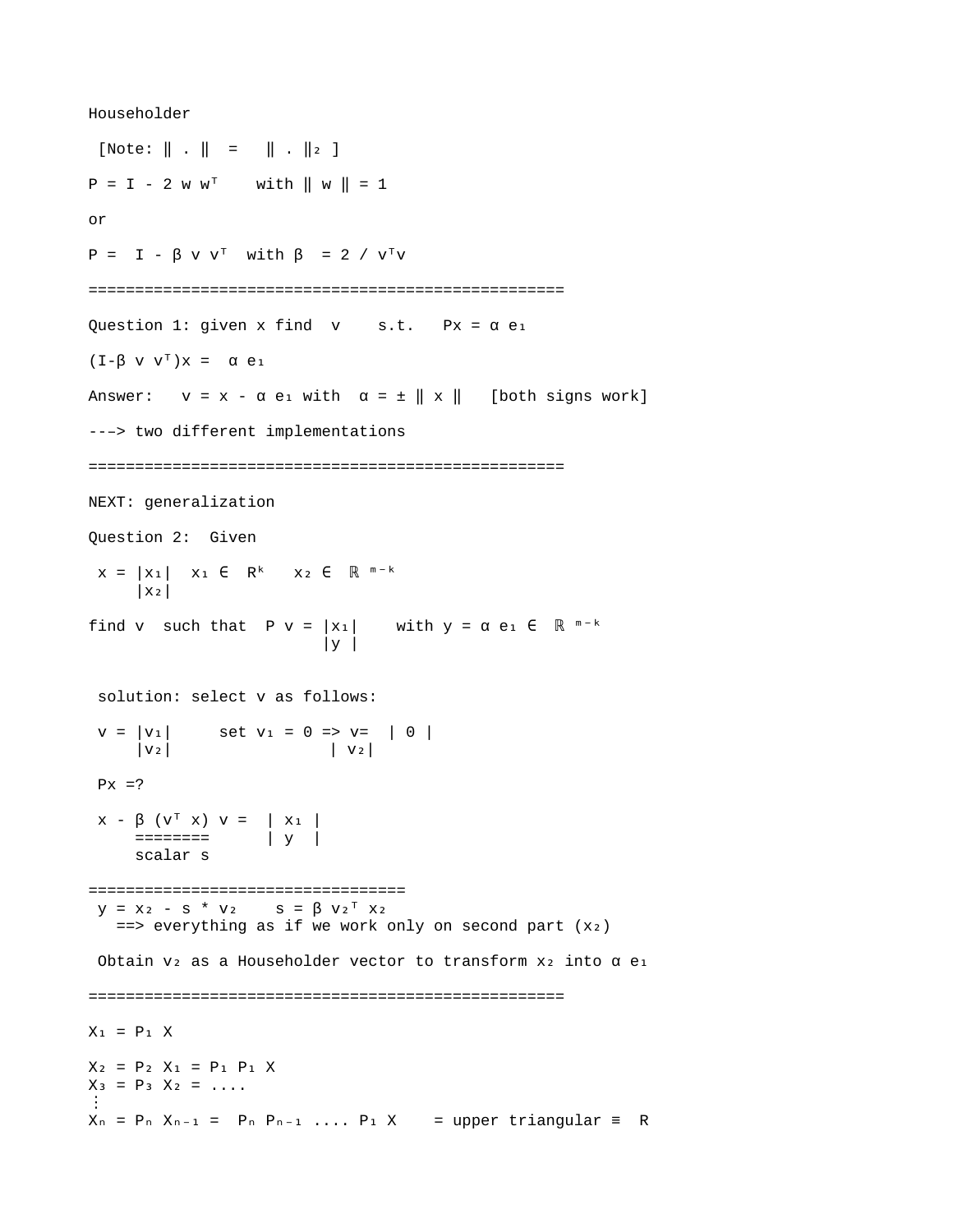Householder  $[Note: || . || = || . || 2 ]$  $P = I - 2 W W^{T}$  with  $|| W || = 1$ or  $P = I - \beta V V^T$  with  $\beta = 2 / V^T V$ =================================================== Question 1: given x find  $v = s.t.$  Px =  $\alpha e_1$  $(I - \beta V V^T)X = \alpha e_1$ Answer:  $v = x - \alpha e_1$  with  $\alpha = \pm ||x||$  [both signs work] --–> two different implementations =================================================== NEXT: generalization Question 2: Given  $x = |x_1|$   $x_1 \in R^k$   $x_2 \in R^{m-k}$  $|X_2|$ find v such that  $P v = |x_1|$  with  $y = \alpha e_1 \in \mathbb{R}^{m-k}$  $|y|$  solution: select v as follows:  $v = |v_1|$  set  $v_1 = 0 \implies v = |0|$  $|V_2|$   $|V_2|$  $Px = ?$  $X - \beta$  ( $V^T$   $X$ )  $V = |X_1|$  ======== | y | scalar s ==================================  $y = X_2 - S^* V_2$   $S = \beta V_2^T X_2$  $==$  everything as if we work only on second part (x2) Obtain  $v_2$  as a Householder vector to transform  $x_2$  into  $\alpha$  e<sub>1</sub> ===================================================  $X_1 = P_1 X$  $X_2 = P_2 X_1 = P_1 P_1 X$  $X_3 = P_3 X_2 = ...$ ⋮  $X_n = P_n$   $X_{n-1} = P_n$   $P_{n-1}$  ....  $P_1$   $X = upper triangular = R$